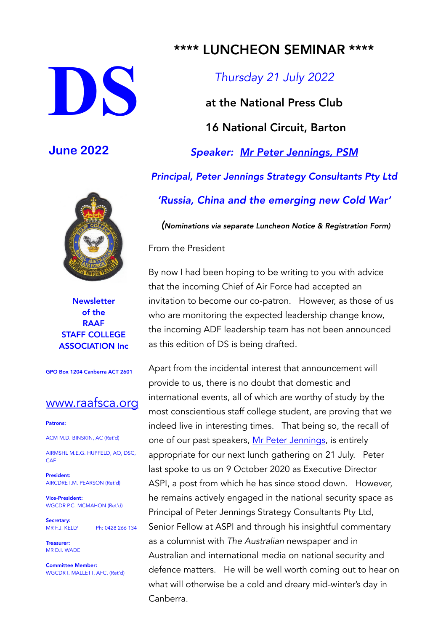# **DS**

## **June 2022**



**Newsletter** of the RAAF STAFF COLLEGE ASSOCIATION Inc

GPO Box 1204 Canberra ACT 2601

### [www.raafsca.org](http://www.raafsca.org/)

### Patrons:

ACM M.D. BINSKIN, AC (Ret'd)

AIRMSHL M.E.G. HUPFELD, AO, DSC, **CAF** 

President: AIRCDRE I.M. PEARSON (Ret'd)

Vice-President: WGCDR P.C. MCMAHON (Ret'd)

Secretary:<br>MR F.J. KELLY Ph: 0428 266 134

Treasurer: MR D.I. WADE

Committee Member: WGCDR I. MALLETT, AFC, (Ret'd)

# \*\*\*\* LUNCHEON SEMINAR \*\*\*\*

*Thursday 21 July 2022*

at the National Press Club 16 National Circuit, Barton *Speaker: [Mr Peter Jennings, PSM](https://raafsca.files.wordpress.com/2022/06/peter-jennings-2.pdf) Principal, Peter Jennings Strategy Consultants Pty Ltd 'Russia, China and the emerging new Cold War'*

*(Nominations via separate Luncheon Notice & Registration Form)*

From the President

By now I had been hoping to be writing to you with advice that the incoming Chief of Air Force had accepted an invitation to become our co-patron. However, as those of us who are monitoring the expected leadership change know, the incoming ADF leadership team has not been announced as this edition of DS is being drafted.

Apart from the incidental interest that announcement will provide to us, there is no doubt that domestic and international events, all of which are worthy of study by the most conscientious staff college student, are proving that we indeed live in interesting times. That being so, the recall of one of our past speakers, [Mr Peter Jennings](https://raafsca.files.wordpress.com/2022/06/peter-jennings-2.pdf), is entirely appropriate for our next lunch gathering on 21 July. Peter last spoke to us on 9 October 2020 as Executive Director ASPI, a post from which he has since stood down. However, he remains actively engaged in the national security space as Principal of Peter Jennings Strategy Consultants Pty Ltd, Senior Fellow at ASPI and through his insightful commentary as a columnist with *The Australian* newspaper and in Australian and international media on national security and defence matters. He will be well worth coming out to hear on what will otherwise be a cold and dreary mid-winter's day in Canberra.